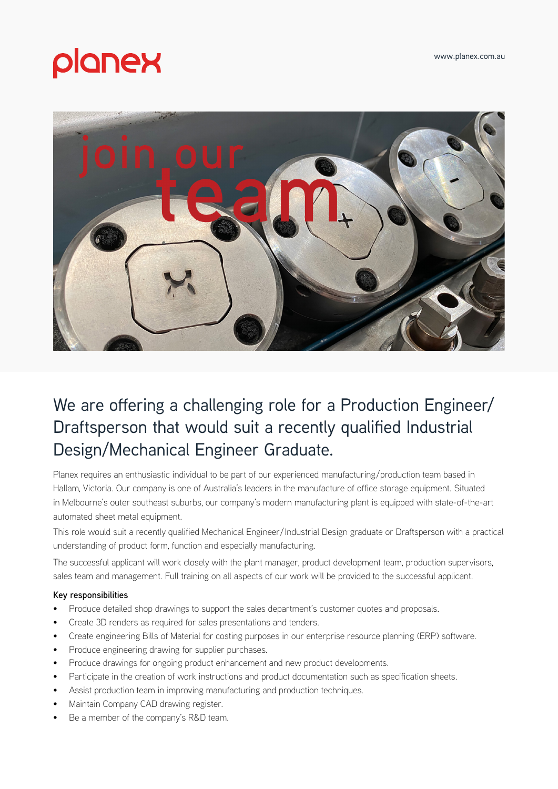# planex



## We are offering a challenging role for a Production Engineer/ Draftsperson that would suit a recently qualified Industrial Design/Mechanical Engineer Graduate.

Planex requires an enthusiastic individual to be part of our experienced manufacturing/production team based in Hallam, Victoria. Our company is one of Australia's leaders in the manufacture of office storage equipment. Situated in Melbourne's outer southeast suburbs, our company's modern manufacturing plant is equipped with state-of-the-art automated sheet metal equipment.

This role would suit a recently qualified Mechanical Engineer/Industrial Design graduate or Draftsperson with a practical understanding of product form, function and especially manufacturing.

The successful applicant will work closely with the plant manager, product development team, production supervisors, sales team and management. Full training on all aspects of our work will be provided to the successful applicant.

### **Key responsibilities**

- Produce detailed shop drawings to support the sales department's customer quotes and proposals.
- Create 3D renders as required for sales presentations and tenders.
- Create engineering Bills of Material for costing purposes in our enterprise resource planning (ERP) software.
- Produce engineering drawing for supplier purchases.
- Produce drawings for ongoing product enhancement and new product developments.
- Participate in the creation of work instructions and product documentation such as specification sheets.
- Assist production team in improving manufacturing and production techniques.
- Maintain Company CAD drawing register.
- Be a member of the company's R&D team.